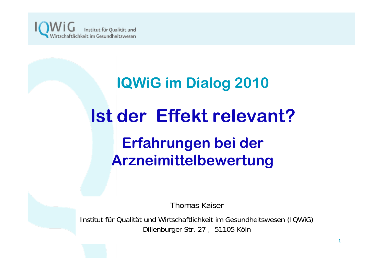

# **IQWiG im Dialog 2010 Ist der Effekt relevant? Erfahrungen bei der Arzneimittelbewertung**

Thomas Kaiser

Institut für Qualität und Wirtschaftlichkeit im Gesundheitswesen (IQWiG) Dillenburger Str. 27 , 51105 Köln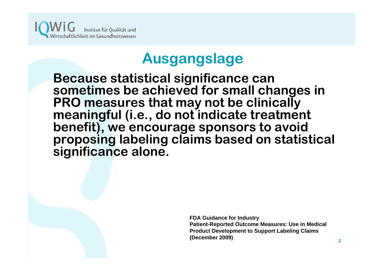

# **Ausgangslage**

**Because statistical significance can sometimes be achieved for small changes in PRO measures that may not be clinically meaningful (i.e., do not indicate treatment benefit), we encourage sponsors to avoid proposing labeling claims based on statistical significance alone.**

> **FDA Guidance for Industry Patient-Reported Outcome Measures: Use in Medical Product Development to Support Labeling Claims (December 2009)**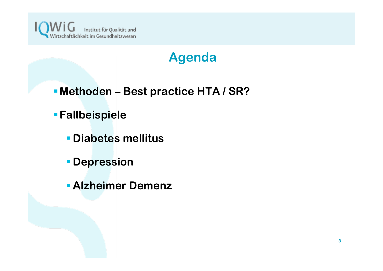

### **Agenda**

- **Methoden – Best practice HTA / SR?**
- **Fallbeispiele**
	- **Diabetes mellitus**
	- **Depression**
	- **Alzheimer Demenz**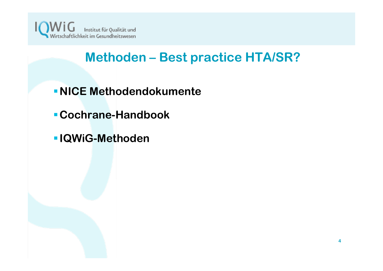

### **Methoden – Best practice HTA/SR?**

- **NICE Methodendokumente**
- **Cochrane-Handbook**
- **IQWiG-Methoden**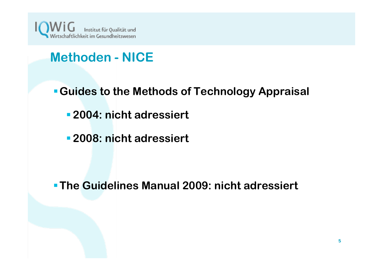

# **Methoden - NICE**

- **Guides to the Methods of Technology Appraisal**
	- **2004: nicht adressiert**
	- **2008: nicht adressiert**

**The Guidelines Manual 2009: nicht adressiert**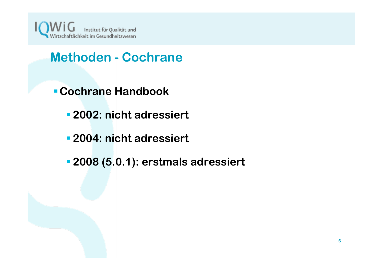

- **Methoden - Cochrane**
- **Cochrane Handbook**
	- **2002: nicht adressiert**
	- **2004: nicht adressiert**
	- **2008 (5.0.1): erstmals adressiert**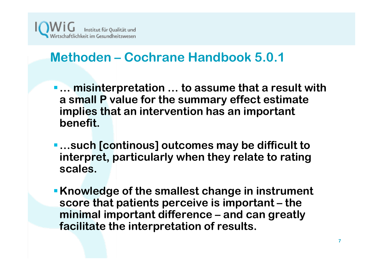

- **… misinterpretation … to assume that a result with a small P value for the summary effect estimate implies that an intervention has an important benefit.**
- **…such [continous] outcomes may be difficult to interpret, particularly when they relate to rating scales.**
- **Knowledge of the smallest change in instrument score that patients perceive is important – the minimal important difference – and can greatly facilitate the interpretation of results.**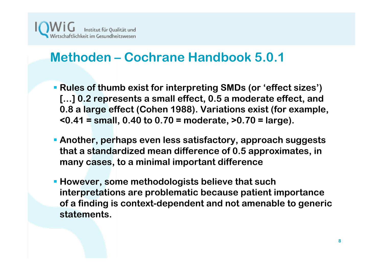

- **Rules of thumb exist for interpreting SMDs (or 'effect sizes') […] 0.2 represents a small effect, 0.5 a moderate effect, and 0.8 a large effect (Cohen 1988). Variations exist (for example, <0.41 = small, 0.40 to 0.70 = moderate, >0.70 = large).**
- **Another, perhaps even less satisfactory, approach suggests that a standardized mean difference of 0.5 approximates, in many cases, to a minimal important difference**
- **However, some methodologists believe that such interpretations are problematic because patient importance of a finding is context-dependent and not amenable to generic statements.**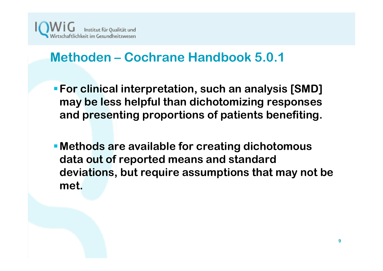

- **For clinical interpretation, such an analysis [SMD] may be less helpful than dichotomizing responses and presenting proportions of patients benefiting.**
- **Methods are available for creating dichotomous data out of reported means and standard deviations, but require assumptions that may not be met.**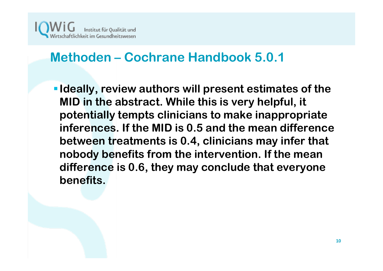

**Ideally, review authors will present estimates of the MID in the abstract. While this is very helpful, it potentially tempts clinicians to make inappropriate inferences. If the MID is 0.5 and the mean difference between treatments is 0.4, clinicians may infer that nobody benefits from the intervention. If the mean difference is 0.6, they may conclude that everyone benefits.**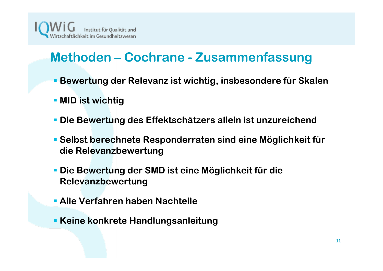

# **Methoden – Cochrane - Zusammenfassung**

- **Bewertung der Relevanz ist wichtig, insbesondere für Skalen**
- **MID ist wichtig**
- **Die Bewertung des Effektschätzers allein ist unzureichend**
- **Selbst berechnete Responderraten sind eine Möglichkeit für die Relevanzbewertung**
- **Die Bewertung der SMD ist eine Möglichkeit für die Relevanzbewertung**
- **Alle Verfahren haben Nachteile**
- **Keine konkrete Handlungsanleitung**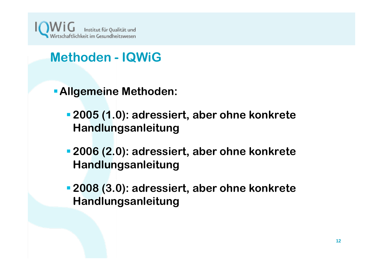

### **Methoden - IQWiG**

- **Allgemeine Methoden:**
	- **2005 (1.0): adressiert, aber ohne konkrete Handlungsanleitung**
	- **2006 (2.0): adressiert, aber ohne konkrete Handlungsanleitung**
	- **2008 (3.0): adressiert, aber ohne konkrete Handlungsanleitung**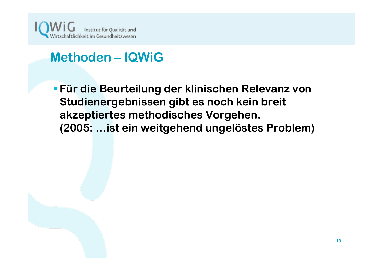

# **Methoden – IQWiG**

**Für die Beurteilung der klinischen Relevanz von Studienergebnissen gibt es noch kein breit akzeptiertes methodisches Vorgehen. (2005: …ist ein weitgehend ungelöstes Problem)**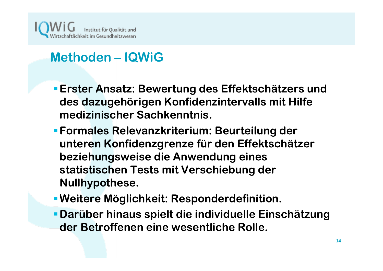

# **Methoden – IQWiG**

- **Erster Ansatz: Bewertung des Effektschätzers und des dazugehörigen Konfidenzintervalls mit Hilfe medizinischer Sachkenntnis.**
- **Formales Relevanzkriterium: Beurteilung der unteren Konfidenzgrenze für den Effektschätzer beziehungsweise die Anwendung eines statistischen Tests mit Verschiebung der Nullhypothese.**
- **Weitere Möglichkeit: Responderdefinition.**
- **Darüber hinaus spielt die individuelle Einschätzung der Betroffenen eine wesentliche Rolle.**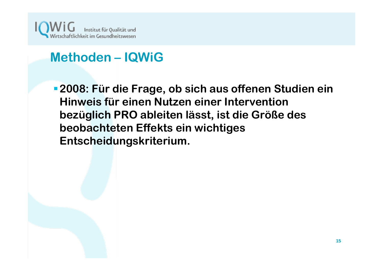

### **Methoden – IQWiG**

**2008: Für die Frage, ob sich aus offenen Studien ein Hinweis für einen Nutzen einer Intervention bezüglich PRO ableiten lässt, ist die Größe des beobachteten Effekts ein wichtiges Entscheidungskriterium.**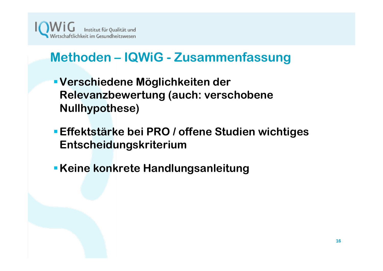

# **Methoden – IQWiG - Zusammenfassung**

- **Verschiedene Möglichkeiten der Relevanzbewertung (auch: verschobene Nullhypothese)**
- **Effektstärke bei PRO / offene Studien wichtiges Entscheidungskriterium**
- **Keine konkrete Handlungsanleitung**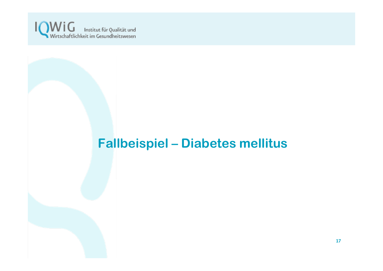

# **Fallbeispiel – Diabetes mellitus**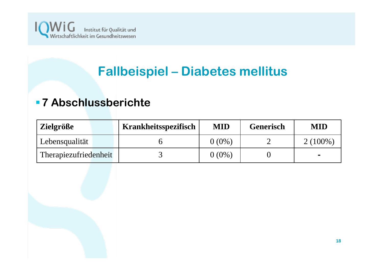

# **Fallbeispiel – Diabetes mellitus**

#### **7 Abschlussberichte**

| <b>Zielgröße</b>      | Krankheitsspezifisch | <b>MID</b> | <b>Generisch</b> | <b>MID</b> |
|-----------------------|----------------------|------------|------------------|------------|
| Lebensqualität        |                      | $0\ (0\%)$ |                  | $2(100\%$  |
| Therapiezufriedenheit |                      | $0.0\%$ )  |                  | $\bullet$  |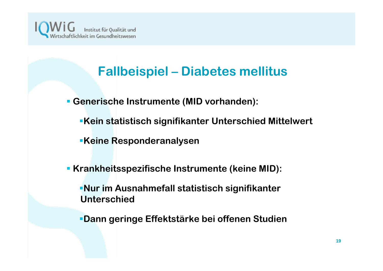

# **Fallbeispiel – Diabetes mellitus**

**Generische Instrumente (MID vorhanden):**

- **Kein statistisch signifikanter Unterschied Mittelwert**
- **Keine Responderanalysen**
- **Krankheitsspezifische Instrumente (keine MID):**

**Nur im Ausnahmefall statistisch signifikanter Unterschied**

**Dann geringe Effektstärke bei offenen Studien**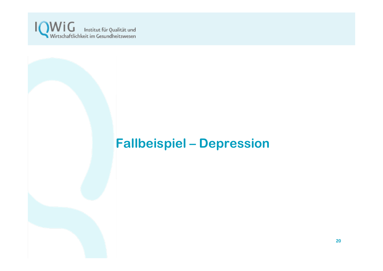

# **Fallbeispiel – Depression**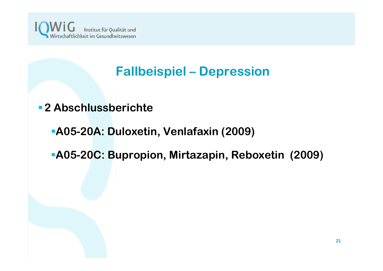

### **Fallbeispiel – Depression**

- **2 Abschlussberichte**
	- **A05-20A: Duloxetin, Venlafaxin (2009)**
	- **A05-20C: Bupropion, Mirtazapin, Reboxetin (2009)**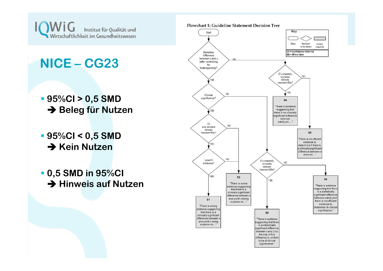

# **NICE – CG23**

- **95%CI > 0,5 SMD → Beleg für Nutzen**
- **95%CI < 0,5 SMD**  $\rightarrow$  Kein Nutzen
- **0,5 SMD in 95%CI**  $\rightarrow$  Hinweis auf Nutzen

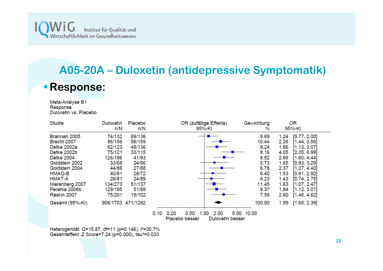

# **A05-20A – Duloxetin (antidepressive Symptomatik) Response:**

Meta-Analyse B1 Response<sup>1</sup> Duloxetin vs. Placebo

| Studie          | Duloxetin<br>n/N  | Placebo<br>n/N | OR (zufällige Effekte)<br>95%-KI                                           | Gewichtung<br>% | OR<br>95%-KI         |
|-----------------|-------------------|----------------|----------------------------------------------------------------------------|-----------------|----------------------|
| Brannan 2005    | 74/132            | 69/136         |                                                                            | 9.69            | [0.77, 2.00]<br>1.24 |
| Brecht 2007     | 86/156            | 56/159         |                                                                            | 10.44           | 2.26<br>[1.44, 3.56] |
| Detke 2002a     | 62/123            | 48/136         |                                                                            | 9.24            | 1.86<br>[1.13, 3.07] |
| Detke 2002b     | 75/121            | 33/115         |                                                                            | 8.16            | [2.35, 6.99]<br>4.05 |
| Detke 2004      | 126/186           | 41/93          |                                                                            | 8.92            | 2.66<br>[1.60, 4.44] |
| Goldstein 2002  | 33/68             | 24/66          |                                                                            | 5.73            | [0.83, 3.29]<br>1.65 |
| Goldstein 2004  | 44/86             | 27/88          |                                                                            | 6.78            | [1.27, 4.40]<br>2.37 |
| HMAQ-B          | 40/81             | 28/72          |                                                                            | 6.40            | 1.53<br>[0.81, 2.92] |
| HMAT-A          | 28/81             | 24/89          |                                                                            | 6.23            | 1.43<br>[0.74, 2.75] |
| Nierenberg 2007 | 134/273           | 51/137         |                                                                            | 11.45           | 1.63<br>[1.07, 2.47] |
| Perahia 2006b   | 129/195           | 51/99          |                                                                            | 9.37            | 1.84<br>[1.12, 3.01] |
| Raskin 2007     | 75/201            | 19/102         |                                                                            | 7.58            | 2.60<br>[1.46, 4.62] |
| Gesamt (95%-KI) | 906/1703 471/1292 |                |                                                                            | 100.00          | 1.99<br>[1.65, 2.39] |
|                 |                   |                | 0.50<br>2.00<br>0.10<br>0.20<br>1.00<br>Placebo besser<br>Duloxetin besser | 5.00 10.00      |                      |

Heterogenität: Q=15.87, df=11 (p=0.146), l<sup>2</sup>=30.7% Gesamteffekt: Z Score=7.24 (p=0.000), tau<sup>2</sup>=0.033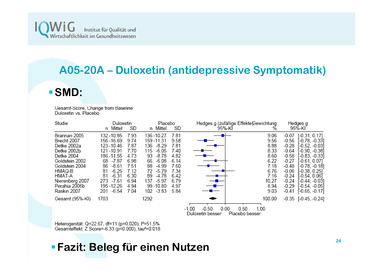

#### **A05-20A – Duloxetin (antidepressive Symptomatik)**

#### **SMD:**

Gesamt-Score, Change from Baseline Duloxetin vs. Placebo

| Studie                                                                                                                                                                             | Duloxetin<br>Mittel<br>n                                                                                                                                                             | SD                                                                                           | Placebo<br>n Mittel                                                                                                                                                                       | SD                                                                                           | 95%-KĪ                                         | Hedges g (zufällige Effekte)Gewichtung<br>%                                                   |                                                                                                                                | Hedges g<br>95%-KI                                                                                                                                                                                                     |
|------------------------------------------------------------------------------------------------------------------------------------------------------------------------------------|--------------------------------------------------------------------------------------------------------------------------------------------------------------------------------------|----------------------------------------------------------------------------------------------|-------------------------------------------------------------------------------------------------------------------------------------------------------------------------------------------|----------------------------------------------------------------------------------------------|------------------------------------------------|-----------------------------------------------------------------------------------------------|--------------------------------------------------------------------------------------------------------------------------------|------------------------------------------------------------------------------------------------------------------------------------------------------------------------------------------------------------------------|
| Brannan 2005<br>Brecht 2007<br>Detke 2002a<br>Detke 2002b<br>Detke 2004<br>Goldstein 2002<br>Goldstein 2004<br>HMAQ-B<br>HMAT-A<br>Nierenberg 2007<br>Perahia 2006b<br>Raskin 2007 | 132 - 10.85<br>156 - 16.69<br>123-10.46<br>121-10.91<br>186 - 11.55<br>-7.87<br>68<br>86<br>$-8.61$<br>$-6.25$<br>81<br>$-6.31$<br>81<br>$-7.61$<br>273<br>195-12.26<br>-6.54<br>201 | 7.93<br>9.74<br>7.87<br>7.70<br>4.73<br>6.98<br>7.51<br>7.12<br>6.30<br>6.94<br>4.94<br>7.04 | 136-10.27<br>159-11.31<br>$-8.29$<br>136<br>115<br>$-6.05$<br>93<br>$-8.78$<br>66<br>$-6.08$<br>88<br>-4.99<br>72<br>$-5.79$<br>$-4.78$<br>89<br>$-5.97$<br>137<br>99-10.80<br>102 - 3.83 | 7.81<br>9.58<br>7.81<br>7.40<br>4.82<br>6.14<br>7.60<br>7.34<br>6.42<br>6.79<br>4.97<br>5.84 |                                                | 9.06<br>9.56<br>8.88<br>8.33<br>8.60<br>6.22<br>7.18<br>6.76<br>7.16<br>10.27<br>8.94<br>9.03 | $-0.07$<br>$-0.56$<br>$-0.28$<br>$-0.64$<br>$-0.58$<br>$-0.27$<br>$-0.48$<br>$-0.06$<br>$-0.24$<br>$-0.24$<br>$-0.29$<br>-0.41 | $[-0.31, 0.17]$<br>-0.78, -0.331<br>-0.52. -0.031<br>(-0.90, -0.38)<br>$-0.83, -0.33]$<br>$-0.61, 0.07$<br>$-0.78, -0.18$ ]<br>$[-0.38, 0.25]$<br>$-0.54, 0.06$<br>-0.44, -0.03]<br>(-0.54, -0.05)<br>$[-0.65, -0.17]$ |
| Gesamt (95%-KI)                                                                                                                                                                    | 1703                                                                                                                                                                                 |                                                                                              | 1292                                                                                                                                                                                      |                                                                                              | 0.00<br>$-0.50$<br>$-1.00$<br>Duloxetin besser | 100.00<br>0.50<br>1.00<br>Placebo besser                                                      |                                                                                                                                | $-0.35$ $[-0.45, -0.24]$                                                                                                                                                                                               |

Heterogenität: Q=22.67, df=11 (p=0.020), l<sup>2</sup>=51.5%<br>Gesamteffekt: Z Score=-6.33 (p=0.000), tau<sup>2</sup>=0.018

**Fazit: Beleg für einen Nutzen**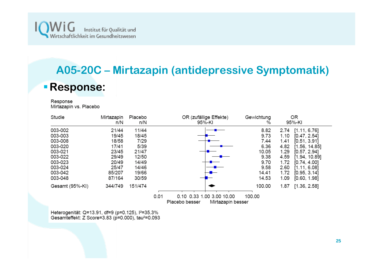

# **A05-20C – Mirtazapin (antidepressive Symptomatik) Response:**

Response Mirtazapin vs. Placebo

| Studie          | Mirtazapin<br>n/N | Placebo<br>n/N | OR (zufällige Effekte)<br>95%-KI                                         | Gewichtung<br>% | ΟR<br>95%-KI          |
|-----------------|-------------------|----------------|--------------------------------------------------------------------------|-----------------|-----------------------|
| 003-002         | 21/44             | 11/44          |                                                                          | 8.82            | 2.74<br>[1.11, 6.76]  |
| 003-003         | 19/45             | 18/45          |                                                                          | 9.73            | 1.10<br>[0.47, 2.54]  |
| 003-008         | 18/58             | 7/29           |                                                                          | 7.44            | [0.51, 3.91]<br>1.41  |
| 003-020         | 17/41             | 5/39           |                                                                          | 6.36            | 4.82<br>[1.56, 14.85] |
| 003-021         | 23/45             | 21/47          |                                                                          | 10.05           | [0.57, 2.94]<br>1.29  |
| 003-022         | 29/49             | 12/50          |                                                                          | 9.38            | 4.59<br>[1.94, 10.89] |
| 003-023         | 20/49             | 14/49          |                                                                          | 9.70            | 1.72<br>[0.74, 4.00]  |
| 003-024         | 25/47             | 14/46          |                                                                          | 9.58            | 2.60<br>[1.11, 6.08]  |
| 003-042         | 85/207            | 19/66          |                                                                          | 14.41           | 1.72<br>[0.95, 3.14]  |
| 003-048         | 87/164            | 30/59          |                                                                          | 14.53           | 1.09<br>[0.60, 1.98]  |
| Gesamt (95%-KI) | 344/749           | 151/474        |                                                                          | 100.00          | 1.87<br>[1.36, 2.58]  |
|                 |                   |                | 0.01<br>0.10 0.33 1.00 3.00 10.00<br>Placebo besser<br>Mirtazapin besser | 100.00          |                       |

Heterogenität: Q=13.91, df=9 (p=0.125), l<sup>2</sup>=35.3%<br>Gesamteffekt: Z Score=3.83 (p=0.000), tau<sup>2</sup>=0.093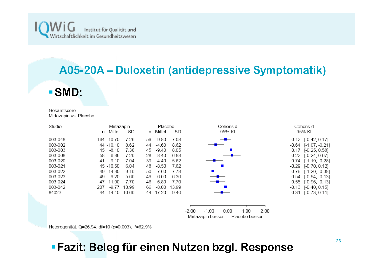

#### **A05-20A – Duloxetin (antidepressive Symptomatik)**

#### **SMD:**

Gesamtscore Mirtazapin vs. Placebo

| Studie  |                   | Mirtazapin |    | Placebo |       |                            | Cohens d     |  | Cohens d                      |  |
|---------|-------------------|------------|----|---------|-------|----------------------------|--------------|--|-------------------------------|--|
|         | n Mittel          | SD         | n. | Mittel  | SD    | 95%-KI                     |              |  | 95%-KI                        |  |
| 003-048 | 164 - 10.70       | 7.26       | 59 | $-9.80$ | 7.08  |                            |              |  | $-0.12$ $[-0.42, 0.17]$       |  |
| 003-002 | 44 - 10.10        | 8.62       | 44 | $-4.60$ | 8.62  |                            |              |  | $-0.64$ [ $-1.07$ , $-0.21$ ] |  |
| 003-003 | $-8.10$<br>45     | 7.38       | 45 | $-9.40$ | 8.05  |                            |              |  | $0.17$ [-0.25, 0.58]          |  |
| 003-008 | $-6.86$<br>58     | 7.20       | 28 | $-8.40$ | 6.88  |                            |              |  | $0.22$ [-0.24, 0.67]          |  |
| 003-020 | $-9.10$<br>41     | 7.04       | 39 | $-4.40$ | 5.62  |                            |              |  | $-0.74$ [ $-1.19$ , $-0.28$ ] |  |
| 003-021 | 45 - 10.50        | 6.04       | 48 | $-8.50$ | 7.62  |                            |              |  | $-0.29$ $[-0.70, 0.12]$       |  |
| 003-022 | 49 - 14.30        | 9.10       | 50 | $-7.60$ | 7.78  |                            |              |  | $-0.79$ [ $-1.20$ , $-0.38$ ] |  |
| 003-023 | $-9.20$<br>49     | 5.60       | 49 | $-6.00$ | 6.30  |                            |              |  | $-0.54$ $[-0.94, -0.13]$      |  |
| 003-024 | 47 -11.00         | 7.70       | 46 | $-6.80$ | 7.70  |                            |              |  | $-0.55$ $[-0.96, -0.13]$      |  |
| 003-042 | 207<br>$-9.77$    | 13.99      | 66 | $-8.00$ | 13.99 |                            |              |  | $-0.13$ $[-0.40, 0.15]$       |  |
| 84023   | 14.10 10.60<br>44 |            | 44 | 17.20   | 9.40  |                            |              |  | $-0.31$ $[-0.73, 0.11]$       |  |
|         |                   |            |    |         |       |                            |              |  |                               |  |
|         |                   |            |    |         |       |                            |              |  |                               |  |
|         |                   |            |    |         |       | $-1.00$<br>0.00<br>$-2.00$ | 1.00<br>2.00 |  |                               |  |

Mirtazapin besser Placebo besser

Heterogenität: Q=26.94, df=10 (p=0.003), l<sup>2</sup>=62.9%

#### **Fazit: Beleg für einen Nutzen bzgl. Response**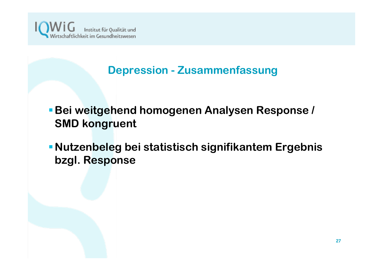

#### **Depression - Zusammenfassung**

- **Bei weitgehend homogenen Analysen Response / SMD kongruent**
- **Nutzenbeleg bei statistisch signifikantem Ergebnis bzgl. Response**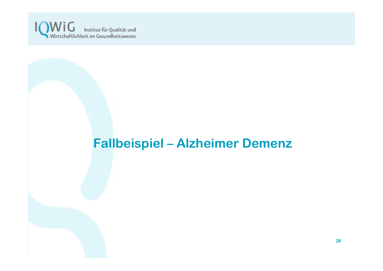

# **Fallbeispiel – Alzheimer Demenz**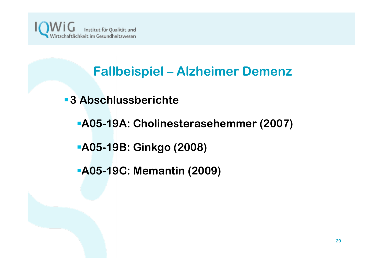

# **Fallbeispiel – Alzheimer Demenz**

- **3 Abschlussberichte**
	- **A05-19A: Cholinesterasehemmer (2007)**
	- **A05-19B: Ginkgo (2008)**
	- **A05-19C: Memantin (2009)**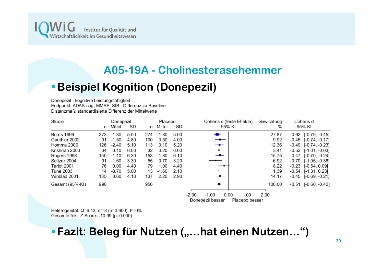

#### **A05-19A - Cholinesterasehemmer**

#### **Beispiel Kognition (Donepezil)**

Donepezil - kognitive Leistungsfähigkeit Endpunkt: ADAS-cog, MMSE, SIB - Differenz zu Baseline Distanzmaß: standardisierte Differenz der Mittelwerte

| Studie            |     | Donepezil |      |     | Placebo |      | Cohens d (feste Effekte)           | Gewichtung | Cohens d                  |
|-------------------|-----|-----------|------|-----|---------|------|------------------------------------|------------|---------------------------|
|                   | n   | Mittel    | SD   | n   | Mittel  | SD   | 95%-KI                             | %          | 95%-KI                    |
| <b>Burns 1999</b> | 273 | $-1.30$   | 5.00 | 274 | 1.80    | 5.00 | $-$                                | 27.87      | $[-0.79, -0.45]$<br>-0.62 |
| Gauthier 2002     | 91  | $-1.50$   | 4.80 | 100 | 0.50    | 4.00 | — <del>-</del>                     | 9.92       | $-0.45$ $[-0.74, -0.17]$  |
| Homma 2000        | 126 | $-2.40$   | 5.10 | 113 | 0.10    | 5.20 | — <del>2</del> —                   | 12.36      | $-0.49$ $[-0.74, -0.23]$  |
| Krishnan 2003     | 34  | 0.10      | 6.00 | 32  | 3.20    | 6.00 |                                    | 3.41       | -0.52<br>$[-1.01, -0.03]$ |
| Rogers 1998       | 150 | $-1.10$   | 6.30 | 153 | 1.80    | 6.10 |                                    | 15.75      | $[-0.70, -0.24]$<br>-0.47 |
| Seltzer 2004      | 91  | $-1.60$   | 3.30 | 55  | 0.70    | 3.20 |                                    | 6.92       | -0.70<br>$[-1.05, -0.36]$ |
| Tariot 2001       | 76  | 0.00      | 4.40 | 79  | 1.00    | 4.40 |                                    | 8.22       | -0.23<br>$[-0.54, 0.09]$  |
| Tune 2003         | 14  | $-3.70$   | 5.00 | 13  | $-1.60$ | 2.10 |                                    | 1.39       | -0.54<br>[-1.31, 0.23]    |
| Winblad 2001      | 135 | 0.60      | 4.10 | 137 | 2.20    | 2.90 |                                    | 14.17      | $-0.45$ $[-0.69, -0.21]$  |
| Gesamt (95%-KI)   | 990 |           |      | 956 |         |      | ٠                                  | 100.00     | [-0.60, -0.42]<br>-0.51   |
|                   |     |           |      |     |         |      | $-1.00$<br>0.00<br>1.00<br>$-2.00$ | 2.00       |                           |

Donepezil besser Placebo besser

Heterogenität: Q=6.43, df=8 (p=0.600), l<sup>2</sup>=0% Gesamteffekt: Z Score=-10.99 (p=0.000)

#### **Fazit: Beleg für Nutzen ("...hat einen Nutzen...")**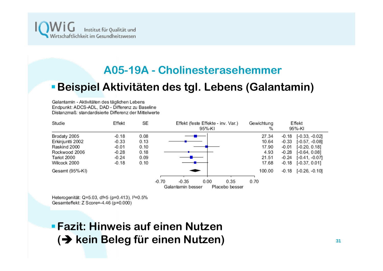

#### **A05-19A - Cholinesterasehemmer**

#### **Beispiel Aktivitäten des tgl. Lebens (Galantamin)**

Galantamin - Aktivitäten des täglichen Lebens Endpunkt: ADCS-ADL, DAD - Differenz zu Baseline Distanzmaß: standardisierte Differenz der Mittelwerte

| Studie                                                                                           | Effekt                                                         | SЕ                                           | Effekt (feste Effekte - inv. Var.)<br>95%-KI                              | Gewichtung<br>%                                   | Effekt<br>95%-KI                                                                                                                                                                |
|--------------------------------------------------------------------------------------------------|----------------------------------------------------------------|----------------------------------------------|---------------------------------------------------------------------------|---------------------------------------------------|---------------------------------------------------------------------------------------------------------------------------------------------------------------------------------|
| Brodaty 2005<br>Erkinjuntti 2002<br>Raskind 2000<br>Rockwood 2006<br>Tariot 2000<br>Wilcock 2000 | $-0.18$<br>$-0.33$<br>$-0.01$<br>$-0.28$<br>$-0.24$<br>$-0.18$ | 0.08<br>0.13<br>0.10<br>0.18<br>0.09<br>0.10 |                                                                           | 27.34<br>10.64<br>17.90<br>4.93<br>21.51<br>17.68 | $[-0.33, -0.02]$<br>$-0.18$<br>$[-0.57, -0.08]$<br>$-0.33$<br>$[-0.20, 0.18]$<br>$-0.01$<br>$-0.28$<br>$[-0.64, 0.08]$<br>[-0.41, -0.07]<br>$-0.24$<br>$[-0.37, 0.01]$<br>-0.18 |
| Gesamt (95%-KI)                                                                                  |                                                                |                                              | $-0.70$<br>$-0.35$<br>0.00<br>0.35<br>Galantamin besser<br>Placebo besser | 100.00<br>0.70                                    | $-0.18$ $[-0.26, -0.10]$                                                                                                                                                        |

Heterogenität: Q=5.03, df=5 (p=0.413), l<sup>2</sup>=0.5% Gesamteffekt: Z Score=-4.46 (p=0.000)

**Fazit: Hinweis auf einen Nutzen (**Î **kein Beleg für einen Nutzen)**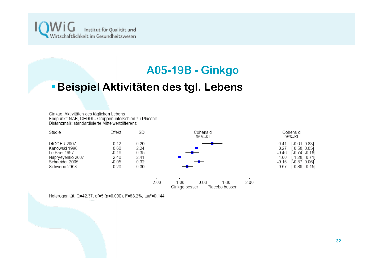

#### **A05-19B - Ginkgo**

#### **Beispiel Aktivitäten des tgl. Lebens**

Ginkgo, Aktivitäten des täglichen Lebens Endpunkt: NAB, GERRI - Gruppenunterschied zu Placebo Distanzmaß: standardisierte Mittelwertdifferenz



Heterogenität: Q=42.37, df=5 (p=0.000), l<sup>2</sup>=88.2%, tau<sup>2</sup>=0.144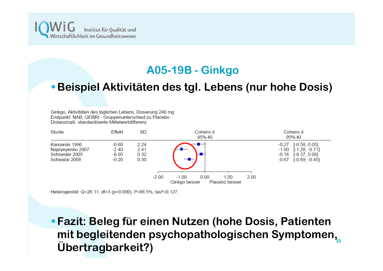

#### **A05-19B - Ginkgo**

#### **Beispiel Aktivitäten des tgl. Lebens (nur hohe Dosis)**

Ginkgo, Aktivitäten des täglichen Lebens, Dosierung 240 mg Endpunkt: NAB, GERRI - Gruppenunterschied zu Placebo Distanzmaß: standardisierte Mittelwertdifferenz



Heterogenität: Q=26.11, df=3 (p=0.000), l<sup>2</sup>=88.5%, tau<sup>2</sup>=0.127

**33mit begleitenden psychopathologischen Symptomen, Fazit: Beleg für einen Nutzen (hohe Dosis, Patienten Übertragbarkeit?)**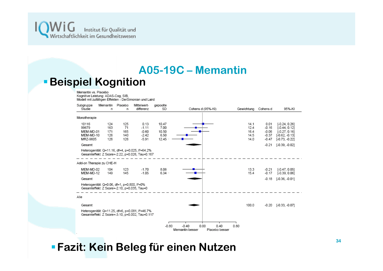

#### **A05-19C – Memantin Beispiel Kognition**

Memantin vs. Placebo Kognitive Leistung: ADAS-Cog, SIB, Modell mit zufälligen Effekten - DerSimonian und Laird

| Subgruppe<br>Studie                                  | Memantin<br>n                                                                                           | Placebo<br>n                   | Mittelwert-<br>differenz                                                                                        | gepoolte<br>SD                          | Cohens d (95%-KI)                                            | Gewichtung                           | Cohens d                                         | 95%-KI                                                                                        |
|------------------------------------------------------|---------------------------------------------------------------------------------------------------------|--------------------------------|-----------------------------------------------------------------------------------------------------------------|-----------------------------------------|--------------------------------------------------------------|--------------------------------------|--------------------------------------------------|-----------------------------------------------------------------------------------------------|
| Monotherapie                                         |                                                                                                         |                                |                                                                                                                 |                                         |                                                              |                                      |                                                  |                                                                                               |
| 10116<br>99679<br>MEM-MD-01<br>MEM-MD-10<br>MRZ-9605 | 124<br>163<br>171<br>126<br>126                                                                         | 125<br>71<br>165<br>140<br>126 | 0.13<br>$-1.11$<br>$-0.60$<br>$-2.42$<br>$-5.91$                                                                | 10.47<br>7.00<br>10.50<br>6.50<br>12.45 |                                                              | 14.1<br>12.4<br>16.4<br>14.5<br>14.0 | 0.01<br>$-0.16$<br>$-0.06$<br>$-0.37$<br>$-0.47$ | $[-0.24, 0.26]$<br>$[-0.44, 0.12]$<br>$[-0.27, 0.16]$<br>$[-0.62, -0.13]$<br>$[-0.73, -0.22]$ |
| Gesamt                                               |                                                                                                         |                                | Heterogenität: Q=11.16, df=4, p=0.025, l <sup>2</sup> =64.2%<br>Gesamteffekt: Z Score=-2.22, p=0.026, Tau=0.167 |                                         |                                                              |                                      | $-0.21$                                          | $[-0.39, -0.02]$                                                                              |
| Add-on Therapie zu CHE-H                             |                                                                                                         |                                |                                                                                                                 |                                         |                                                              |                                      |                                                  |                                                                                               |
| MEM-MD-02<br>MEM-MD-12                               | 104<br>149                                                                                              | 123<br>145                     | $-1.70$<br>$-1.05$                                                                                              | 8.08<br>$6.34 +$                        |                                                              | 13.3<br>15.4                         | $-0.21$<br>$-0.17$                               | $[-0.47, 0.05]$<br>$[-0.39, 0.06]$                                                            |
| Gesamt                                               |                                                                                                         |                                |                                                                                                                 |                                         |                                                              |                                      | $-0.18$                                          | $[-0.36, -0.01]$                                                                              |
|                                                      | Heterogenität: Q=0.06, df=1, p=0.800, l <sup>2</sup> =0%<br>Gesamteffekt: Z Score=-2.10, p=0.035, Tau=0 |                                |                                                                                                                 |                                         |                                                              |                                      |                                                  |                                                                                               |
| Alle                                                 |                                                                                                         |                                |                                                                                                                 |                                         |                                                              |                                      |                                                  |                                                                                               |
| Gesamt                                               |                                                                                                         |                                |                                                                                                                 |                                         |                                                              | 100.0                                | $-0.20$                                          | $[-0.33, -0.07]$                                                                              |
|                                                      |                                                                                                         |                                | Heterogenität: Q=11.25, df=6, p=0.081, l <sup>2</sup> =46.7%<br>Gesamteffekt: Z Score=-3.10, p=0.002, Tau=0.117 |                                         |                                                              |                                      |                                                  |                                                                                               |
|                                                      |                                                                                                         |                                |                                                                                                                 | $-0.80$                                 | $-0.40$<br>0.00<br>0.40<br>Memantin besser<br>Placebo besser | 0.80                                 |                                                  |                                                                                               |

**Fazit: Kein Beleg für einen Nutzen**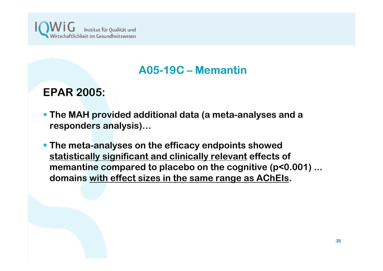

#### **A05-19C – Memantin**

#### **EPAR 2005:**

- **The MAH provided additional data (a meta-analyses and a responders analysis)…**
- **The meta-analyses on the efficacy endpoints showed statistically significant and clinically relevant effects of memantine compared to placebo on the cognitive (p<0.001) ... domains with effect sizes in the same range as AChEIs.**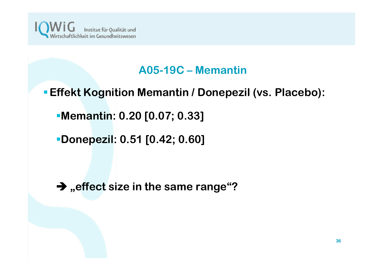

#### **A05-19C – Memantin**

#### **Effekt Kognition Memantin / Donepezil (vs. Placebo):**

**Memantin: 0.20 [0.07; 0.33]**

**Donepezil: 0.51 [0.42; 0.60]**

Î **"effect size in the same range"?**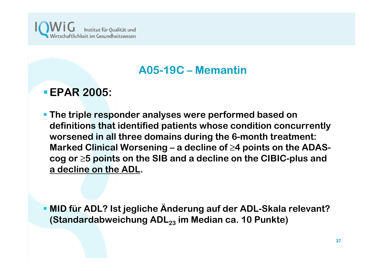

#### **A05-19C – Memantin**

#### **EPAR 2005:**

 **The triple responder analyses were performed based on definitions that identified patients whose condition concurrently worsened in all three domains during the 6-month treatment: Marked Clinical Worsening – a decline of ≥4 points on the ADAScog or <sup>≥</sup>5 points on the SIB and a decline on the CIBIC-plus and a decline on the ADL.**

 **MID für ADL? Ist jegliche Änderung auf der ADL-Skala relevant?**  (Standardabweichung ADL<sub>23</sub> im Median ca. 10 Punkte)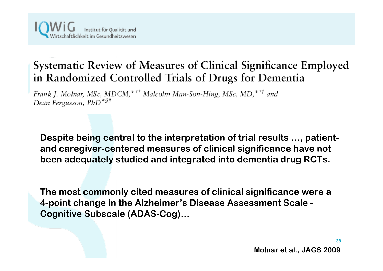### Systematic Review of Measures of Clinical Significance Employed in Randomized Controlled Trials of Drugs for Dementia

Frank J. Molnar, MSc, MDCM,\*<sup>††</sup> Malcolm Man-Son-Hing, MSc, MD,\*<sup>††</sup> and Dean Fergusson, PhD<sup>\*\$//</sup>

**Despite being central to the interpretation of trial results …, patientand caregiver-centered measures of clinical significance have not been adequately studied and integrated into dementia drug RCTs.**

**The most commonly cited measures of clinical significance were a 4-point change in the Alzheimer's Disease Assessment Scale - Cognitive Subscale (ADAS-Cog)…**

**38**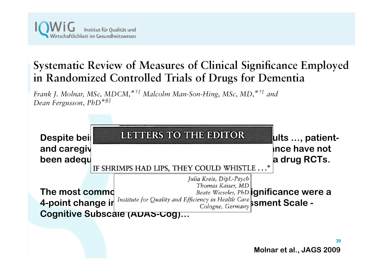

### Systematic Review of Measures of Clinical Significance Employed in Randomized Controlled Trials of Drugs for Dementia

Frank J. Molnar, MSc, MDCM,\*<sup>††</sup> Malcolm Man-Son-Hing, MSc, MD,\*<sup>††</sup> and Dean Fergusson, PhD<sup>\*\$//</sup>



**Molnar et al., JAGS 2009**

**39**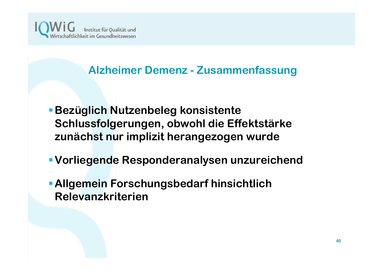

#### **Alzheimer Demenz - Zusammenfassung**

- **Bezüglich Nutzenbeleg konsistente Schlussfolgerungen, obwohl die Effektstärke zunächst nur implizit herangezogen wurde**
- **Vorliegende Responderanalysen unzureichend**
- **Allgemein Forschungsbedarf hinsichtlich Relevanzkriterien**